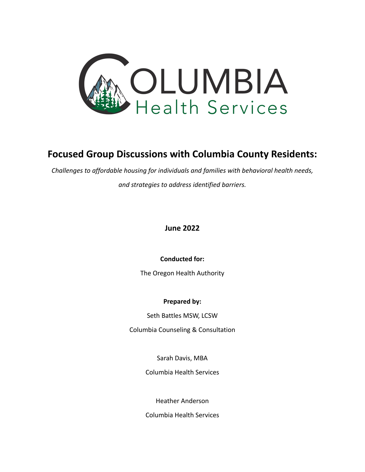

# **Focused Group Discussions with Columbia County Residents:**

*Challenges to affordable housing for individuals and families with behavioral health needs, and strategies to address identified barriers.*

# **June 2022**

**Conducted for:**

The Oregon Health Authority

### **Prepared by:**

Seth Battles MSW, LCSW

Columbia Counseling & Consultation

Sarah Davis, MBA

Columbia Health Services

Heather Anderson

Columbia Health Services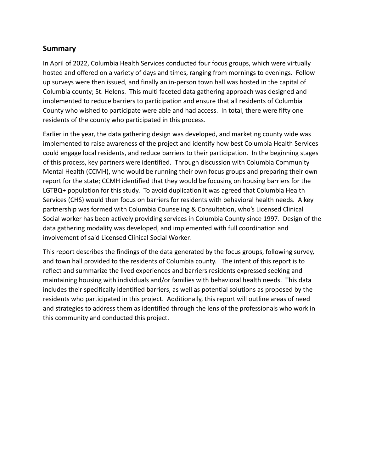# **Summary**

In April of 2022, Columbia Health Services conducted four focus groups, which were virtually hosted and offered on a variety of days and times, ranging from mornings to evenings. Follow up surveys were then issued, and finally an in-person town hall was hosted in the capital of Columbia county; St. Helens. This multi faceted data gathering approach was designed and implemented to reduce barriers to participation and ensure that all residents of Columbia County who wished to participate were able and had access. In total, there were fifty one residents of the county who participated in this process.

Earlier in the year, the data gathering design was developed, and marketing county wide was implemented to raise awareness of the project and identify how best Columbia Health Services could engage local residents, and reduce barriers to their participation. In the beginning stages of this process, key partners were identified. Through discussion with Columbia Community Mental Health (CCMH), who would be running their own focus groups and preparing their own report for the state; CCMH identified that they would be focusing on housing barriers for the LGTBQ+ population for this study. To avoid duplication it was agreed that Columbia Health Services (CHS) would then focus on barriers for residents with behavioral health needs. A key partnership was formed with Columbia Counseling & Consultation, who's Licensed Clinical Social worker has been actively providing services in Columbia County since 1997. Design of the data gathering modality was developed, and implemented with full coordination and involvement of said Licensed Clinical Social Worker.

This report describes the findings of the data generated by the focus groups, following survey, and town hall provided to the residents of Columbia county. The intent of this report is to reflect and summarize the lived experiences and barriers residents expressed seeking and maintaining housing with individuals and/or families with behavioral health needs. This data includes their specifically identified barriers, as well as potential solutions as proposed by the residents who participated in this project. Additionally, this report will outline areas of need and strategies to address them as identified through the lens of the professionals who work in this community and conducted this project.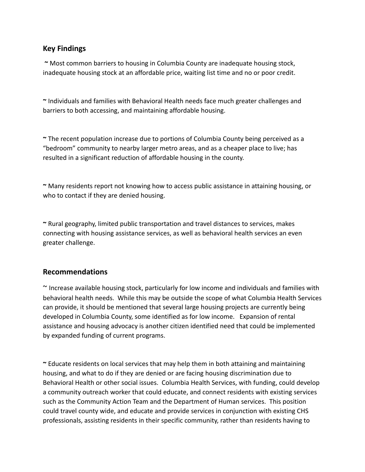# **Key Findings**

**~** Most common barriers to housing in Columbia County are inadequate housing stock, inadequate housing stock at an affordable price, waiting list time and no or poor credit.

**~** Individuals and families with Behavioral Health needs face much greater challenges and barriers to both accessing, and maintaining affordable housing.

**~** The recent population increase due to portions of Columbia County being perceived as a "bedroom" community to nearby larger metro areas, and as a cheaper place to live; has resulted in a significant reduction of affordable housing in the county.

**~** Many residents report not knowing how to access public assistance in attaining housing, or who to contact if they are denied housing.

**~** Rural geography, limited public transportation and travel distances to services, makes connecting with housing assistance services, as well as behavioral health services an even greater challenge.

## **Recommendations**

~ Increase available housing stock, particularly for low income and individuals and families with behavioral health needs. While this may be outside the scope of what Columbia Health Services can provide, it should be mentioned that several large housing projects are currently being developed in Columbia County, some identified as for low income. Expansion of rental assistance and housing advocacy is another citizen identified need that could be implemented by expanded funding of current programs.

**~** Educate residents on local services that may help them in both attaining and maintaining housing, and what to do if they are denied or are facing housing discrimination due to Behavioral Health or other social issues. Columbia Health Services, with funding, could develop a community outreach worker that could educate, and connect residents with existing services such as the Community Action Team and the Department of Human services. This position could travel county wide, and educate and provide services in conjunction with existing CHS professionals, assisting residents in their specific community, rather than residents having to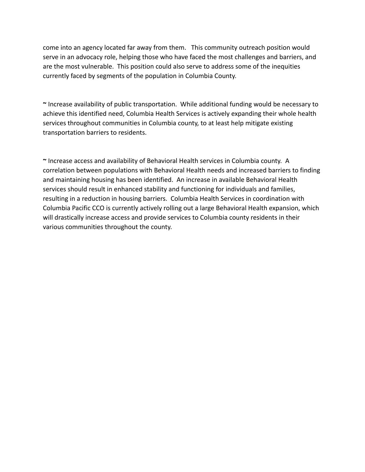come into an agency located far away from them. This community outreach position would serve in an advocacy role, helping those who have faced the most challenges and barriers, and are the most vulnerable. This position could also serve to address some of the inequities currently faced by segments of the population in Columbia County.

**~** Increase availability of public transportation. While additional funding would be necessary to achieve this identified need, Columbia Health Services is actively expanding their whole health services throughout communities in Columbia county, to at least help mitigate existing transportation barriers to residents.

**~** Increase access and availability of Behavioral Health services in Columbia county. A correlation between populations with Behavioral Health needs and increased barriers to finding and maintaining housing has been identified. An increase in available Behavioral Health services should result in enhanced stability and functioning for individuals and families, resulting in a reduction in housing barriers. Columbia Health Services in coordination with Columbia Pacific CCO is currently actively rolling out a large Behavioral Health expansion, which will drastically increase access and provide services to Columbia county residents in their various communities throughout the county.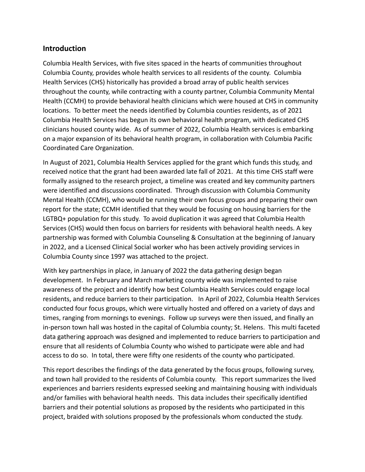## **Introduction**

Columbia Health Services, with five sites spaced in the hearts of communities throughout Columbia County, provides whole health services to all residents of the county. Columbia Health Services (CHS) historically has provided a broad array of public health services throughout the county, while contracting with a county partner, Columbia Community Mental Health (CCMH) to provide behavioral health clinicians which were housed at CHS in community locations. To better meet the needs identified by Columbia counties residents, as of 2021 Columbia Health Services has begun its own behavioral health program, with dedicated CHS clinicians housed county wide. As of summer of 2022, Columbia Health services is embarking on a major expansion of its behavioral health program, in collaboration with Columbia Pacific Coordinated Care Organization.

In August of 2021, Columbia Health Services applied for the grant which funds this study, and received notice that the grant had been awarded late fall of 2021. At this time CHS staff were formally assigned to the research project, a timeline was created and key community partners were identified and discussions coordinated. Through discussion with Columbia Community Mental Health (CCMH), who would be running their own focus groups and preparing their own report for the state; CCMH identified that they would be focusing on housing barriers for the LGTBQ+ population for this study. To avoid duplication it was agreed that Columbia Health Services (CHS) would then focus on barriers for residents with behavioral health needs. A key partnership was formed with Columbia Counseling & Consultation at the beginning of January in 2022, and a Licensed Clinical Social worker who has been actively providing services in Columbia County since 1997 was attached to the project.

With key partnerships in place, in January of 2022 the data gathering design began development. In February and March marketing county wide was implemented to raise awareness of the project and identify how best Columbia Health Services could engage local residents, and reduce barriers to their participation. In April of 2022, Columbia Health Services conducted four focus groups, which were virtually hosted and offered on a variety of days and times, ranging from mornings to evenings. Follow up surveys were then issued, and finally an in-person town hall was hosted in the capital of Columbia county; St. Helens. This multi faceted data gathering approach was designed and implemented to reduce barriers to participation and ensure that all residents of Columbia County who wished to participate were able and had access to do so. In total, there were fifty one residents of the county who participated.

This report describes the findings of the data generated by the focus groups, following survey, and town hall provided to the residents of Columbia county. This report summarizes the lived experiences and barriers residents expressed seeking and maintaining housing with individuals and/or families with behavioral health needs. This data includes their specifically identified barriers and their potential solutions as proposed by the residents who participated in this project, braided with solutions proposed by the professionals whom conducted the study.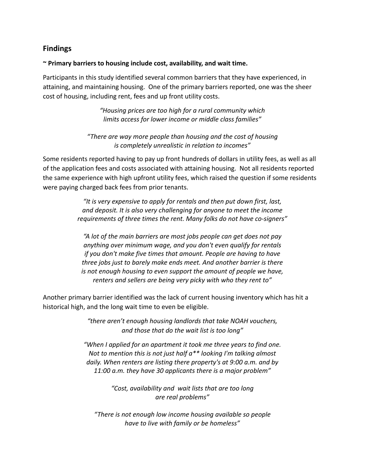# **Findings**

#### **~ Primary barriers to housing include cost, availability, and wait time.**

Participants in this study identified several common barriers that they have experienced, in attaining, and maintaining housing. One of the primary barriers reported, one was the sheer cost of housing, including rent, fees and up front utility costs.

> *"Housing prices are too high for a rural community which limits access for lower income or middle class families"*

*"There are way more people than housing and the cost of housing is completely unrealistic in relation to incomes"*

Some residents reported having to pay up front hundreds of dollars in utility fees, as well as all of the application fees and costs associated with attaining housing. Not all residents reported the same experience with high upfront utility fees, which raised the question if some residents were paying charged back fees from prior tenants.

> *"It is very expensive to apply for rentals and then put down first, last, and deposit. It is also very challenging for anyone to meet the income requirements of three times the rent. Many folks do not have co-signers"*

*"A lot of the main barriers are most jobs people can get does not pay anything over minimum wage, and you don't even qualify for rentals if you don't make five times that amount. People are having to have three jobs just to barely make ends meet. And another barrier is there is not enough housing to even support the amount of people we have, renters and sellers are being very picky with who they rent to"*

Another primary barrier identified was the lack of current housing inventory which has hit a historical high, and the long wait time to even be eligible.

> *"there aren't enough housing landlords that take NOAH vouchers, and those that do the wait list is too long"*

*"When I applied for an apartment it took me three years to find one. Not to mention this is not just half a\*\* looking I'm talking almost daily. When renters are listing there property's at 9:00 a.m. and by 11:00 a.m. they have 30 applicants there is a major problem"*

> *"Cost, availability and wait lists that are too long are real problems"*

*"There is not enough low income housing available so people have to live with family or be homeless"*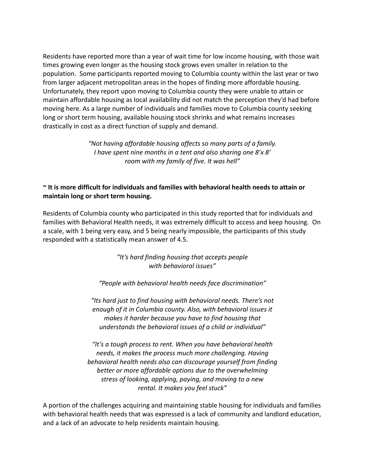Residents have reported more than a year of wait time for low income housing, with those wait times growing even longer as the housing stock grows even smaller in relation to the population. Some participants reported moving to Columbia county within the last year or two from larger adjacent metropolitan areas in the hopes of finding more affordable housing. Unfortunately, they report upon moving to Columbia county they were unable to attain or maintain affordable housing as local availability did not match the perception they'd had before moving here. As a large number of individuals and families move to Columbia county seeking long or short term housing, available housing stock shrinks and what remains increases drastically in cost as a direct function of supply and demand.

> *"Not having affordable housing affects so many parts of a family. I have spent nine months in a tent and also sharing one 8'x 8' room with my family of five. It was hell"*

## **~ It is more difficult for individuals and families with behavioral health needs to attain or maintain long or short term housing.**

Residents of Columbia county who participated in this study reported that for individuals and families with Behavioral Health needs, it was extremely difficult to access and keep housing. On a scale, with 1 being very easy, and 5 being nearly impossible, the participants of this study responded with a statistically mean answer of 4.5.

> *"It's hard finding housing that accepts people with behavioral issues"*

*"People with behavioral health needs face discrimination"*

*"Its hard just to find housing with behavioral needs. There's not enough of it in Columbia county. Also, with behavioral issues it makes it harder because you have to find housing that understands the behavioral issues of a child or individual"*

*"It's a tough process to rent. When you have behavioral health needs, it makes the process much more challenging. Having behavioral health needs also can discourage yourself from finding better or more affordable options due to the overwhelming stress of looking, applying, paying, and moving to a new rental. It makes you feel stuck"*

A portion of the challenges acquiring and maintaining stable housing for individuals and families with behavioral health needs that was expressed is a lack of community and landlord education, and a lack of an advocate to help residents maintain housing.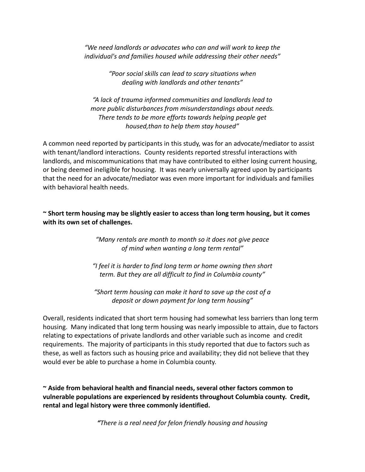*"We need landlords or advocates who can and will work to keep the individual's and families housed while addressing their other needs"*

> *"Poor social skills can lead to scary situations when dealing with landlords and other tenants"*

*"A lack of trauma informed communities and landlords lead to more public disturbances from misunderstandings about needs. There tends to be more efforts towards helping people get housed,than to help them stay housed"*

A common need reported by participants in this study, was for an advocate/mediator to assist with tenant/landlord interactions. County residents reported stressful interactions with landlords, and miscommunications that may have contributed to either losing current housing, or being deemed ineligible for housing. It was nearly universally agreed upon by participants that the need for an advocate/mediator was even more important for individuals and families with behavioral health needs.

**~ Short term housing may be slightly easier to access than long term housing, but it comes with its own set of challenges.**

> *"Many rentals are month to month so it does not give peace of mind when wanting a long term rental"*

*"I feel it is harder to find long term or home owning then short term. But they are all difficult to find in Columbia county"*

*"Short term housing can make it hard to save up the cost of a deposit or down payment for long term housing"*

Overall, residents indicated that short term housing had somewhat less barriers than long term housing. Many indicated that long term housing was nearly impossible to attain, due to factors relating to expectations of private landlords and other variable such as income and credit requirements. The majority of participants in this study reported that due to factors such as these, as well as factors such as housing price and availability; they did not believe that they would ever be able to purchase a home in Columbia county.

**~ Aside from behavioral health and financial needs, several other factors common to vulnerable populations are experienced by residents throughout Columbia county. Credit, rental and legal history were three commonly identified.**

*"There is a real need for felon friendly housing and housing*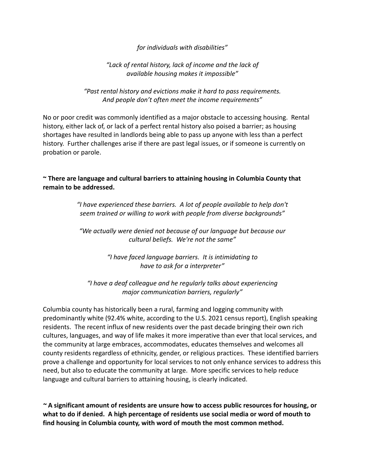*for individuals with disabilities"*

## *"Lack of rental history, lack of income and the lack of available housing makes it impossible"*

*"Past rental history and evictions make it hard to pass requirements. And people don't often meet the income requirements"*

No or poor credit was commonly identified as a major obstacle to accessing housing. Rental history, either lack of, or lack of a perfect rental history also poised a barrier; as housing shortages have resulted in landlords being able to pass up anyone with less than a perfect history. Further challenges arise if there are past legal issues, or if someone is currently on probation or parole.

**~ There are language and cultural barriers to attaining housing in Columbia County that remain to be addressed.**

> *"I have experienced these barriers. A lot of people available to help don't seem trained or willing to work with people from diverse backgrounds"*

*"We actually were denied not because of our language but because our cultural beliefs. We're not the same"*

> *"I have faced language barriers. It is intimidating to have to ask for a interpreter"*

*"I have a deaf colleague and he regularly talks about experiencing major communication barriers, regularly"*

Columbia county has historically been a rural, farming and logging community with predominantly white (92.4% white, according to the U.S. 2021 census report), English speaking residents. The recent influx of new residents over the past decade bringing their own rich cultures, languages, and way of life makes it more imperative than ever that local services, and the community at large embraces, accommodates, educates themselves and welcomes all county residents regardless of ethnicity, gender, or religious practices. These identified barriers prove a challenge and opportunity for local services to not only enhance services to address this need, but also to educate the community at large. More specific services to help reduce language and cultural barriers to attaining housing, is clearly indicated.

*~* **A significant amount of residents are unsure how to access public resources for housing, or what to do if denied. A high percentage of residents use social media or word of mouth to find housing in Columbia county, with word of mouth the most common method.**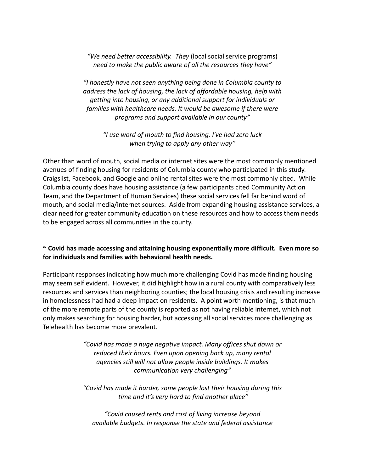*"We need better accessibility. They* (local social service programs) *need to make the public aware of all the resources they have"*

*"I honestly have not seen anything being done in Columbia county to address the lack of housing, the lack of affordable housing, help with getting into housing, or any additional support for individuals or families with healthcare needs. It would be awesome if there were programs and support available in our county"*

*"I use word of mouth to find housing. I've had zero luck when trying to apply any other way"*

Other than word of mouth, social media or internet sites were the most commonly mentioned avenues of finding housing for residents of Columbia county who participated in this study. Craigslist, Facebook, and Google and online rental sites were the most commonly cited. While Columbia county does have housing assistance (a few participants cited Community Action Team, and the Department of Human Services) these social services fell far behind word of mouth, and social media/internet sources. Aside from expanding housing assistance services, a clear need for greater community education on these resources and how to access them needs to be engaged across all communities in the county.

### **~ Covid has made accessing and attaining housing exponentially more difficult. Even more so for individuals and families with behavioral health needs.**

Participant responses indicating how much more challenging Covid has made finding housing may seem self evident. However, it did highlight how in a rural county with comparatively less resources and services than neighboring counties; the local housing crisis and resulting increase in homelessness had had a deep impact on residents. A point worth mentioning, is that much of the more remote parts of the county is reported as not having reliable internet, which not only makes searching for housing harder, but accessing all social services more challenging as Telehealth has become more prevalent.

> *"Covid has made a huge negative impact. Many offices shut down or reduced their hours. Even upon opening back up, many rental agencies still will not allow people inside buildings. It makes communication very challenging"*

> *"Covid has made it harder, some people lost their housing during this time and it's very hard to find another place"*

*"Covid caused rents and cost of living increase beyond available budgets. In response the state and federal assistance*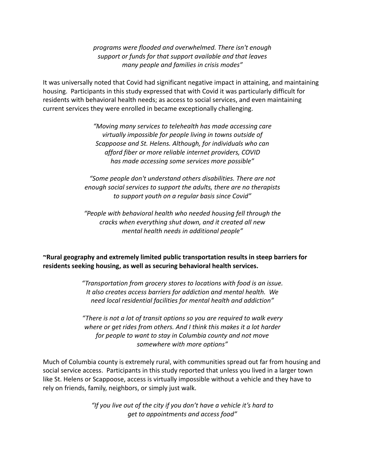*programs were flooded and overwhelmed. There isn't enough support or funds for that support available and that leaves many people and families in crisis modes"*

It was universally noted that Covid had significant negative impact in attaining, and maintaining housing. Participants in this study expressed that with Covid it was particularly difficult for residents with behavioral health needs; as access to social services, and even maintaining current services they were enrolled in became exceptionally challenging.

> *"Moving many services to telehealth has made accessing care virtually impossible for people living in towns outside of Scappoose and St. Helens. Although, for individuals who can afford fiber or more reliable internet providers, COVID has made accessing some services more possible"*

*"Some people don't understand others disabilities. There are not enough social services to support the adults, there are no therapists to support youth on a regular basis since Covid"*

*"People with behavioral health who needed housing fell through the cracks when everything shut down, and it created all new mental health needs in additional people"*

**~Rural geography and extremely limited public transportation results in steep barriers for residents seeking housing, as well as securing behavioral health services.**

> *"Transportation from grocery stores to locations with food is an issue. It also creates access barriers for addiction and mental health. We need local residential facilities for mental health and addiction"*

> *"There is not a lot of transit options so you are required to walk every where or get rides from others. And I think this makes it a lot harder for people to want to stay in Columbia county and not move somewhere with more options"*

Much of Columbia county is extremely rural, with communities spread out far from housing and social service access. Participants in this study reported that unless you lived in a larger town like St. Helens or Scappoose, access is virtually impossible without a vehicle and they have to rely on friends, family, neighbors, or simply just walk.

> *"If you live out of the city if you don't have a vehicle it's hard to get to appointments and access food"*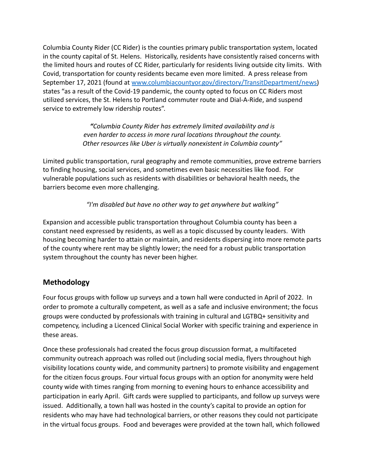Columbia County Rider (CC Rider) is the counties primary public transportation system, located in the county capital of St. Helens. Historically, residents have consistently raised concerns with the limited hours and routes of CC Rider, particularly for residents living outside city limits. With Covid, transportation for county residents became even more limited. A press release from September 17, 2021 (found at [www.columbiacountyor.gov/directory/TransitDepartment/news\)](http://www.columbiacountyor.gov/directory/TransitDepartment/news) states "as a result of the Covid-19 pandemic, the county opted to focus on CC Riders most utilized services, the St. Helens to Portland commuter route and Dial-A-Ride, and suspend service to extremely low ridership routes".

> *"Columbia County Rider has extremely limited availability and is even harder to access in more rural locations throughout the county. Other resources like Uber is virtually nonexistent in Columbia county"*

Limited public transportation, rural geography and remote communities, prove extreme barriers to finding housing, social services, and sometimes even basic necessities like food. For vulnerable populations such as residents with disabilities or behavioral health needs, the barriers become even more challenging.

## *"I'm disabled but have no other way to get anywhere but walking"*

Expansion and accessible public transportation throughout Columbia county has been a constant need expressed by residents, as well as a topic discussed by county leaders. With housing becoming harder to attain or maintain, and residents dispersing into more remote parts of the county where rent may be slightly lower; the need for a robust public transportation system throughout the county has never been higher.

## **Methodology**

Four focus groups with follow up surveys and a town hall were conducted in April of 2022. In order to promote a culturally competent, as well as a safe and inclusive environment; the focus groups were conducted by professionals with training in cultural and LGTBQ+ sensitivity and competency, including a Licenced Clinical Social Worker with specific training and experience in these areas.

Once these professionals had created the focus group discussion format, a multifaceted community outreach approach was rolled out (including social media, flyers throughout high visibility locations county wide, and community partners) to promote visibility and engagement for the citizen focus groups. Four virtual focus groups with an option for anonymity were held county wide with times ranging from morning to evening hours to enhance accessibility and participation in early April. Gift cards were supplied to participants, and follow up surveys were issued. Additionally, a town hall was hosted in the county's capital to provide an option for residents who may have had technological barriers, or other reasons they could not participate in the virtual focus groups. Food and beverages were provided at the town hall, which followed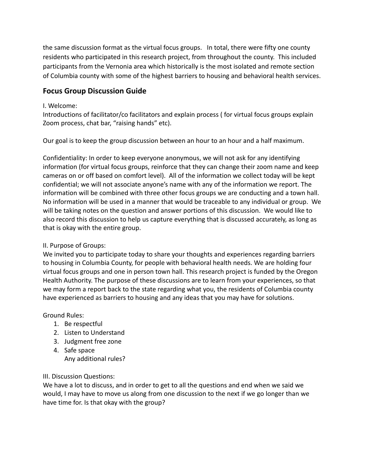the same discussion format as the virtual focus groups. In total, there were fifty one county residents who participated in this research project, from throughout the county. This included participants from the Vernonia area which historically is the most isolated and remote section of Columbia county with some of the highest barriers to housing and behavioral health services.

# **Focus Group Discussion Guide**

#### I. Welcome:

Introductions of facilitator/co facilitators and explain process ( for virtual focus groups explain Zoom process, chat bar, "raising hands" etc).

Our goal is to keep the group discussion between an hour to an hour and a half maximum.

Confidentiality: In order to keep everyone anonymous, we will not ask for any identifying information (for virtual focus groups, reinforce that they can change their zoom name and keep cameras on or off based on comfort level). All of the information we collect today will be kept confidential; we will not associate anyone's name with any of the information we report. The information will be combined with three other focus groups we are conducting and a town hall. No information will be used in a manner that would be traceable to any individual or group. We will be taking notes on the question and answer portions of this discussion. We would like to also record this discussion to help us capture everything that is discussed accurately, as long as that is okay with the entire group.

### II. Purpose of Groups:

We invited you to participate today to share your thoughts and experiences regarding barriers to housing in Columbia County, for people with behavioral health needs. We are holding four virtual focus groups and one in person town hall. This research project is funded by the Oregon Health Authority. The purpose of these discussions are to learn from your experiences, so that we may form a report back to the state regarding what you, the residents of Columbia county have experienced as barriers to housing and any ideas that you may have for solutions.

### Ground Rules:

- 1. Be respectful
- 2. Listen to Understand
- 3. Judgment free zone
- 4. Safe space Any additional rules?

### III. Discussion Questions:

We have a lot to discuss, and in order to get to all the questions and end when we said we would, I may have to move us along from one discussion to the next if we go longer than we have time for. Is that okay with the group?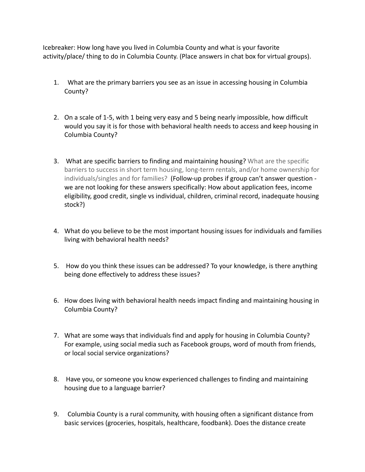Icebreaker: How long have you lived in Columbia County and what is your favorite activity/place/ thing to do in Columbia County. (Place answers in chat box for virtual groups).

- 1. What are the primary barriers you see as an issue in accessing housing in Columbia County?
- 2. On a scale of 1-5, with 1 being very easy and 5 being nearly impossible, how difficult would you say it is for those with behavioral health needs to access and keep housing in Columbia County?
- 3. What are specific barriers to finding and maintaining housing? What are the specific barriers to success in short term housing, long-term rentals, and/or home ownership for individuals/singles and for families? (Follow-up probes if group can't answer question we are not looking for these answers specifically: How about application fees, income eligibility, good credit, single vs individual, children, criminal record, inadequate housing stock?)
- 4. What do you believe to be the most important housing issues for individuals and families living with behavioral health needs?
- 5. How do you think these issues can be addressed? To your knowledge, is there anything being done effectively to address these issues?
- 6. How does living with behavioral health needs impact finding and maintaining housing in Columbia County?
- 7. What are some ways that individuals find and apply for housing in Columbia County? For example, using social media such as Facebook groups, word of mouth from friends, or local social service organizations?
- 8. Have you, or someone you know experienced challenges to finding and maintaining housing due to a language barrier?
- 9. Columbia County is a rural community, with housing often a significant distance from basic services (groceries, hospitals, healthcare, foodbank). Does the distance create